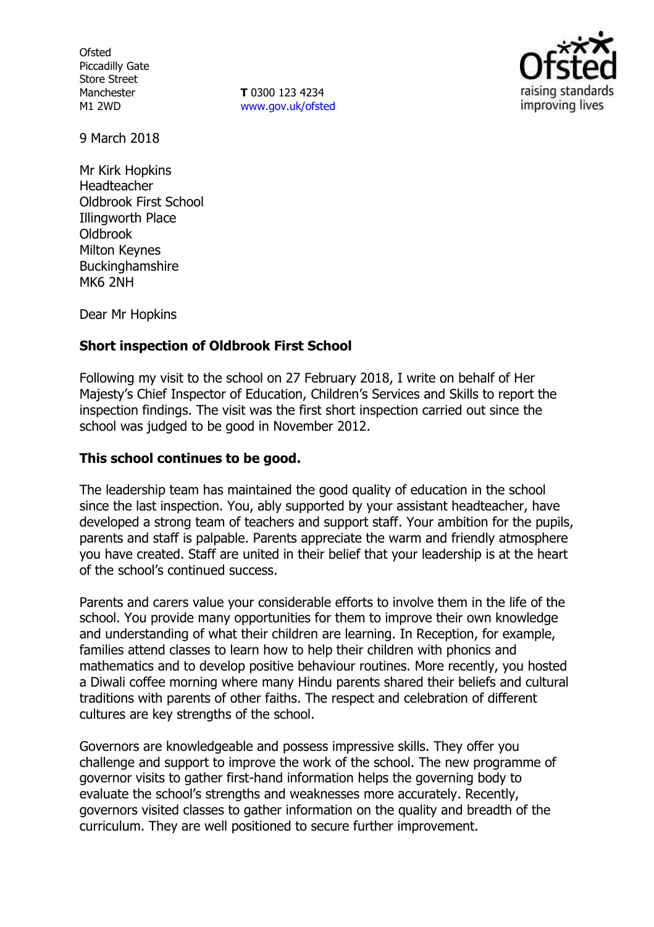**Ofsted** Piccadilly Gate Store Street Manchester M1 2WD

**T** 0300 123 4234 www.gov.uk/ofsted



9 March 2018

Mr Kirk Hopkins Headteacher Oldbrook First School Illingworth Place Oldbrook Milton Keynes **Buckinghamshire** MK6 2NH

Dear Mr Hopkins

# **Short inspection of Oldbrook First School**

Following my visit to the school on 27 February 2018, I write on behalf of Her Majesty's Chief Inspector of Education, Children's Services and Skills to report the inspection findings. The visit was the first short inspection carried out since the school was judged to be good in November 2012.

## **This school continues to be good.**

The leadership team has maintained the good quality of education in the school since the last inspection. You, ably supported by your assistant headteacher, have developed a strong team of teachers and support staff. Your ambition for the pupils, parents and staff is palpable. Parents appreciate the warm and friendly atmosphere you have created. Staff are united in their belief that your leadership is at the heart of the school's continued success.

Parents and carers value your considerable efforts to involve them in the life of the school. You provide many opportunities for them to improve their own knowledge and understanding of what their children are learning. In Reception, for example, families attend classes to learn how to help their children with phonics and mathematics and to develop positive behaviour routines. More recently, you hosted a Diwali coffee morning where many Hindu parents shared their beliefs and cultural traditions with parents of other faiths. The respect and celebration of different cultures are key strengths of the school.

Governors are knowledgeable and possess impressive skills. They offer you challenge and support to improve the work of the school. The new programme of governor visits to gather first-hand information helps the governing body to evaluate the school's strengths and weaknesses more accurately. Recently, governors visited classes to gather information on the quality and breadth of the curriculum. They are well positioned to secure further improvement.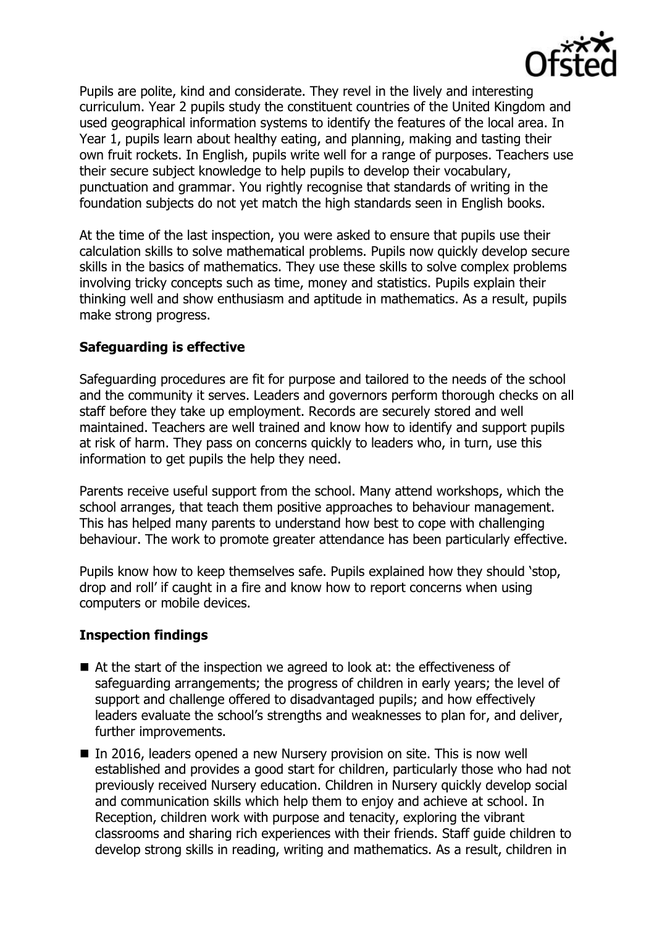

Pupils are polite, kind and considerate. They revel in the lively and interesting curriculum. Year 2 pupils study the constituent countries of the United Kingdom and used geographical information systems to identify the features of the local area. In Year 1, pupils learn about healthy eating, and planning, making and tasting their own fruit rockets. In English, pupils write well for a range of purposes. Teachers use their secure subject knowledge to help pupils to develop their vocabulary, punctuation and grammar. You rightly recognise that standards of writing in the foundation subjects do not yet match the high standards seen in English books.

At the time of the last inspection, you were asked to ensure that pupils use their calculation skills to solve mathematical problems. Pupils now quickly develop secure skills in the basics of mathematics. They use these skills to solve complex problems involving tricky concepts such as time, money and statistics. Pupils explain their thinking well and show enthusiasm and aptitude in mathematics. As a result, pupils make strong progress.

# **Safeguarding is effective**

Safeguarding procedures are fit for purpose and tailored to the needs of the school and the community it serves. Leaders and governors perform thorough checks on all staff before they take up employment. Records are securely stored and well maintained. Teachers are well trained and know how to identify and support pupils at risk of harm. They pass on concerns quickly to leaders who, in turn, use this information to get pupils the help they need.

Parents receive useful support from the school. Many attend workshops, which the school arranges, that teach them positive approaches to behaviour management. This has helped many parents to understand how best to cope with challenging behaviour. The work to promote greater attendance has been particularly effective.

Pupils know how to keep themselves safe. Pupils explained how they should 'stop, drop and roll' if caught in a fire and know how to report concerns when using computers or mobile devices.

## **Inspection findings**

- At the start of the inspection we agreed to look at: the effectiveness of safeguarding arrangements; the progress of children in early years; the level of support and challenge offered to disadvantaged pupils; and how effectively leaders evaluate the school's strengths and weaknesses to plan for, and deliver, further improvements.
- In 2016, leaders opened a new Nursery provision on site. This is now well established and provides a good start for children, particularly those who had not previously received Nursery education. Children in Nursery quickly develop social and communication skills which help them to enjoy and achieve at school. In Reception, children work with purpose and tenacity, exploring the vibrant classrooms and sharing rich experiences with their friends. Staff guide children to develop strong skills in reading, writing and mathematics. As a result, children in